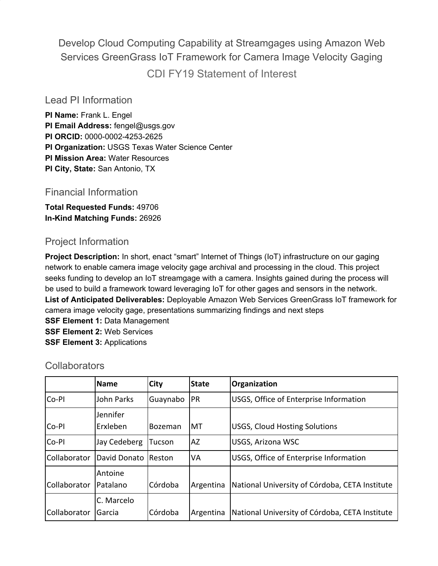Develop Cloud Computing Capability at Streamgages using Amazon Web Services GreenGrass IoT Framework for Camera Image Velocity Gaging CDI FY19 Statement of Interest

## Lead PI Information

**PI Name:** Frank L. Engel **PI Email Address:** fengel@usgs.gov **PI ORCID:** 0000-0002-4253-2625 **PI Organization:** USGS Texas Water Science Center **PI Mission Area:** Water Resources **PI City, State:** San Antonio, TX

# Financial Information

**Total Requested Funds:** 49706 **In-Kind Matching Funds:** 26926

# Project Information

**Project Description:** In short, enact "smart" Internet of Things (IoT) infrastructure on our gaging network to enable camera image velocity gage archival and processing in the cloud. This project seeks funding to develop an IoT streamgage with a camera. Insights gained during the process will be used to build a framework toward leveraging IoT for other gages and sensors in the network. **List of Anticipated Deliverables:** Deployable Amazon Web Services GreenGrass IoT framework for camera image velocity gage, presentations summarizing findings and next steps

**SSF Element 1:** Data Management **SSF Element 2:** Web Services **SSF Element 3:** Applications

|              | <b>Name</b>         | <b>City</b> | <b>State</b> | Organization                                   |  |
|--------------|---------------------|-------------|--------------|------------------------------------------------|--|
| Co-PI        | John Parks          | Guaynabo    | <b>PR</b>    | USGS, Office of Enterprise Information         |  |
|              | Jennifer            |             |              |                                                |  |
| Co-PI        | Erxleben            | Bozeman     | МT           | <b>USGS, Cloud Hosting Solutions</b>           |  |
| Co-PI        | Jay Cedeberg        | Tucson      | AZ           | <b>USGS, Arizona WSC</b>                       |  |
| Collaborator | David Donato Reston |             | VA           | USGS, Office of Enterprise Information         |  |
|              | Antoine             |             |              |                                                |  |
| Collaborator | Patalano            | Córdoba     | Argentina    | National University of Córdoba, CETA Institute |  |
|              | C. Marcelo          |             |              |                                                |  |
| Collaborator | Garcia              | Córdoba     | Argentina    | National University of Córdoba, CETA Institute |  |

### **Collaborators**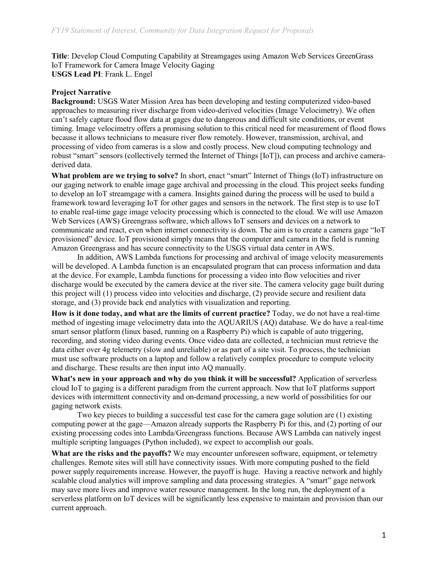**Title**: Develop Cloud Computing Capability at Streamgages using Amazon Web Services GreenGrass IoT Framework for Camera Image Velocity Gaging **USGS Lead PI**: Frank L. Engel

#### **Project Narrative**

**Background:** USGS Water Mission Area has been developing and testing computerized video-based approaches to measuring river discharge from video-derived velocities (Image Velocimetry). We often can't safely capture flood flow data at gages due to dangerous and difficult site conditions, or event timing. Image velocimetry offers a promising solution to this critical need for measurement of flood flows because it allows technicians to measure river flow remotely. However, transmission, archival, and processing of video from cameras is a slow and costly process. New cloud computing technology and robust "smart" sensors (collectively termed the Internet of Things [IoT]), can process and archive cameraderived data.

**What problem are we trying to solve?** In short, enact "smart" Internet of Things (IoT) infrastructure on our gaging network to enable image gage archival and processing in the cloud. This project seeks funding to develop an IoT streamgage with a camera. Insights gained during the process will be used to build a framework toward leveraging IoT for other gages and sensors in the network. The first step is to use IoT to enable real-time gage image velocity processing which is connected to the cloud. We will use Amazon Web Services (AWS) Greengrass software, which allows IoT sensors and devices on a network to communicate and react, even when internet connectivity is down. The aim is to create a camera gage "IoT provisioned" device. IoT provisioned simply means that the computer and camera in the field is running Amazon Greengrass and has secure connectivity to the USGS virtual data center in AWS.

In addition, AWS Lambda functions for processing and archival of image velocity measurements will be developed. A Lambda function is an encapsulated program that can process information and data at the device. For example, Lambda functions for processing a video into flow velocities and river discharge would be executed by the camera device at the river site. The camera velocity gage built during this project will (1) process video into velocities and discharge, (2) provide secure and resilient data storage, and (3) provide back end analytics with visualization and reporting.

**How is it done today, and what are the limits of current practice?** Today, we do not have a real-time method of ingesting image velocimetry data into the AQUARIUS (AQ) database. We do have a real-time smart sensor platform (linux based, running on a Raspberry Pi) which is capable of auto triggering, recording, and storing video during events. Once video data are collected, a technician must retrieve the data either over 4g telemetry (slow and unreliable) or as part of a site visit. To process, the technician must use software products on a laptop and follow a relatively complex procedure to compute velocity and discharge. These results are then input into AQ manually.

**What's new in your approach and why do you think it will be successful?** Application of serverless cloud IoT to gaging is a different paradigm from the current approach. Now that IoT platforms support devices with intermittent connectivity and on-demand processing, a new world of possibilities for our gaging network exists.

Two key pieces to building a successful test case for the camera gage solution are (1) existing computing power at the gage—Amazon already supports the Raspberry Pi for this, and (2) porting of our existing processing codes into Lambda/Greengrass functions. Because AWS Lambda can natively ingest multiple scripting languages (Python included), we expect to accomplish our goals.

**What are the risks and the payoffs?** We may encounter unforeseen software, equipment, or telemetry challenges. Remote sites will still have connectivity issues. With more computing pushed to the field power supply requirements increase. However, the payoff is huge. Having a reactive network and highly scalable cloud analytics will improve sampling and data processing strategies. A "smart" gage network may save more lives and improve water resource management. In the long run, the deployment of a serverless platform on IoT devices will be significantly less expensive to maintain and provision than our current approach.